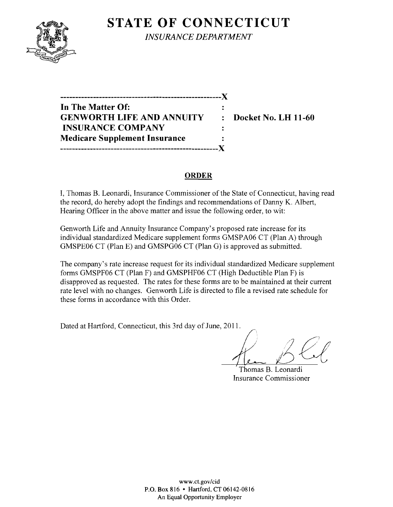

**STATE OF CONNECTICUT** *INSURANCE DEPARTMENT* 

**In The Matter Of: GENWORTH LIFE AND ANNUITY : Docket No. LH 11-60 INSURANCE COMPANY Medicare Supplement Insurance -----------------------------------------------------)(** 

**------------------------------------------------------)(** 

#### **ORDER**

I, Thomas B. Leonardi, Insurance Commissioner of the State of Connecticut, having read the record, do hereby adopt the findings and recommendations of Danny K. Albert, Hearing Officer in the above matter and issue the following order, to wit:

Genworth Life and Annuity Insurance Company's proposed rate increase for its individual standardized Medicare supplement forms GMSPA06 CT (Plan A) through GMSPE06 CT (Plan E) and GMSPG06 CT (Plan G) is approved as submitted.

The company's rate increase request for its individual standardized Medicare supplement forms GMSPF06 CT (Plan F) and GMSPHF06 CT (High Deductible Plan F) is disapproved as requested. The rates for these forms are to be maintained at their current rate level with no changes. Genworth Life is directed to file a revised rate schedule for these forms in accordance with this Order.

Dated at Hartford, Connecticut, this 3rd day of June, 2011.

Thomas B. Leonardi Insurance Commissioner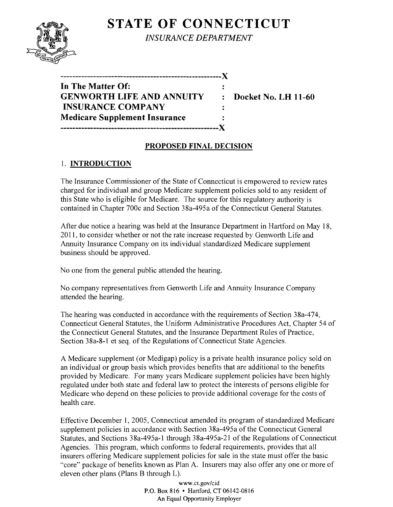# **STATE OF CONNECTICUT**



*INSURANCE DEPARTMENT* 

| --------------------------           |                |
|--------------------------------------|----------------|
| In The Matter Of:                    |                |
| <b>GENWORTH LIFE AND ANNUITY</b>     | $\ddot{\cdot}$ |
| <b>INSURANCE COMPANY</b>             |                |
| <b>Medicare Supplement Insurance</b> |                |
|                                      |                |

**EDocket No. LH 11-60** 

# **PROPOSED FINAL DECISION**

## 1. **INTRODUCTION**

The Insurance Commissioner of the State of Connecticut is empowered to review rates charged for individual and group Medicare supplement policies sold to any resident of this State who is eligible for Medicare. The source for this regulatory authority is contained in Chapter 700c and Section 38a-495a of the Connecticut General Statutes.

After due notice a hearing was held at the Insurance Department in Hartford on May 18, 2011, to consider whether or not the rate increase requested by Genworth Life and Annuity Insurance Company on its individual standardized Medicare supplement business should be approved.

No one from the general public attended the hearing.

No company representatives from Genworth Life and Annuity Insurance Company attended the hearing.

The hearing was conducted in accordance with the requirements of Section 38a-474, Connecticut General Statutes, the Uniform Administrative Procedures Act, Chapter 54 of the Connecticut General Statutes, and the Insurance Department Rules of Practice, Section 38a-8-1 et seq. of the Regulations of Connecticut State Agencies.

A Medicare supplement (or Medigap) policy is a private health insurance policy sold on an individual or group basis which provides benefits that are additional to the benefits provided by Medicare. For many years Medicare supplement policies have been highly regulated under both state and federal law to protect the interests of persons eligible for Medicare who depend on these policies to provide additional coverage for the costs of health care.

Effective December 1, 2005, Connecticut amended its program of standardized Medicare supplement policies in accordance with Section 38a-495a of the Connecticut General Statutes, and Sections 38a-495a-l through 38a-495a-21 of the Regulations of Connecticut Agencies. This program, which conforms to federal requirements, provides that all insurers offering Medicare supplement policies for sale in the state must offer the basic "core" package of benefits known as Plan A. Insurers may also offer anyone or more of eleven other plans (Plans B through L).

> www.ct.gov/cid P.O. Box 816 • Hartford, CT 06142-0816 An Equal Opportunity Employer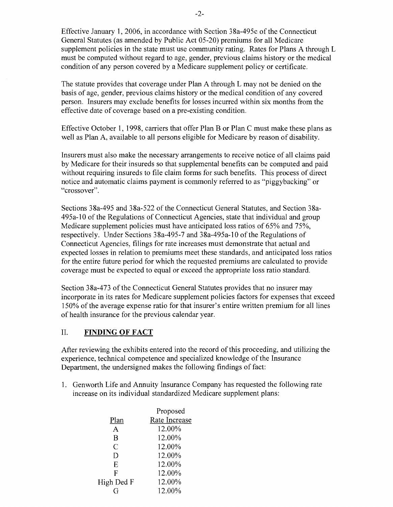Effective January 1,2006, in accordance with Section 38a-495c of the Connecticut General Statutes (as amended by Public Act 05-20) premiums for all Medicare supplement policies in the state must use community rating. Rates for Plans A through L must be computed without regard to age, gender, previous claims history or the medical condition of any person covered by a Medicare supplement policy or certificate.

The statute provides that coverage under Plan A through L may not be denied on the basis of age, gender, previous claims history or the medical condition of any covered person. Insurers may exclude benefits for losses incurred within six months from the effective date of coverage based on a pre-existing condition.

Effective October 1, 1998, carriers that offer Plan B or Plan C must make these plans as well as Plan A, available to all persons eligible for Medicare by reason of disability.

Insurers must also make the necessary arrangements to receive notice of all claims paid by Medicare for their insureds so that supplemental benefits can be computed and paid without requiring insureds to file claim forms for such benefits. This process of direct notice and automatic claims payment is commonly referred to as "piggybacking" or "crossover".

Sections 38a-495 and 38a-522 of the Connecticut General Statutes, and Section 38a-495a-IO of the Regulations of Connecticut Agencies, state that individual and group Medicare supplement policies must have anticipated loss ratios of 65% and 75%, respectively. Under Sections 38a-495-7 and 38a-495a-10 of the Regulations of Connecticut Agencies, filings for rate increases must demonstrate that actual and expected losses in relation to premiums meet these standards, and anticipated loss ratios for the entire future period for which the requested premiums are calculated to provide coverage must be expected to equal or exceed the appropriate loss ratio standard.

Section 38a-473 of the Connecticut General Statutes provides that no insurer may incorporate in its rates for Medicare supplement policies factors for expenses that exceed 150% of the average expense ratio for that insurer's entire written premium for all lines of health insurance for the previous calendar year.

### II. **FINDING OF FACT**

After reviewing the exhibits entered into the record of this proceeding, and utilizing the experience, technical competence and specialized knowledge of the Insurance Department, the undersigned makes the following findings of fact:

1. Genworth Life and Annuity Insurance Company has requested the following rate increase on its individual standardized Medicare supplement plans:

|                | Proposed      |
|----------------|---------------|
| Plan           | Rate Increase |
| A              | 12.00%        |
| B              | 12.00%        |
| $\overline{C}$ | 12.00%        |
| D              | 12.00%        |
| E              | 12.00%        |
| F              | 12.00%        |
| High Ded F     | 12.00%        |
|                | 12.00%        |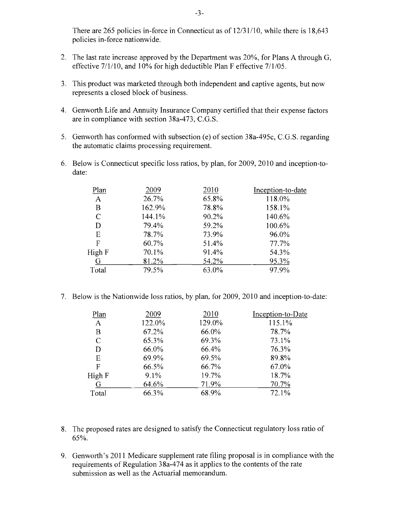There are  $265$  policies in-force in Connecticut as of  $12/31/10$ , while there is  $18,643$ policies in-force nationwide.

- 2. The last rate increase approved by the Department was  $20\%$ , for Plans A through G, effective 7/1/10, and 10% for high deductible Plan F effective 7/1/05.
- 3. This product was marketed through both independent and captive agents, but now represents a closed block of business.
- 4. Oenworth Life and Annuity Insurance Company certified that their expense factors are in compliance with section  $38a-473$ , C.G.S.
- 5. Oenworth has conformed with subsection (e) of section 38a-495c, C.O.S. regarding the automatic claims processing requirement.
- 6. Below is Connecticut specific loss ratios, by plan, for 2009, 2010 and inception-todate:

| 2009   | 2010  | Inception-to-date |
|--------|-------|-------------------|
| 26.7%  | 65.8% | 118.0%            |
| 162.9% | 78.8% | 158.1%            |
| 144.1% | 90.2% | 140.6%            |
| 79.4%  | 59.2% | 100.6%            |
| 78.7%  | 73.9% | 96.0%             |
| 60.7%  | 51.4% | 77.7%             |
| 70.1%  | 91.4% | 54.3%             |
| 81.2%  | 54.2% | 95.3%             |
| 79.5%  | 63.0% | 97.9%             |
|        |       |                   |

7. Below is the Nationwide loss ratios, by plan, for 2009, 2010 and inception-to-date:

| 2009   | 2010   | Inception-to-Date |
|--------|--------|-------------------|
| 122.0% | 129.0% | 115.1%            |
| 67.2%  | 66.0%  | 78.7%             |
| 65.3%  | 69.3%  | 73.1%             |
| 66.0%  | 66.4%  | 76.3%             |
| 69.9%  | 69.5%  | 89.8%             |
| 66.5%  | 66.7%  | 67.0%             |
| 9.1%   | 19.7%  | 18.7%             |
| 64.6%  | 71.9%  | 70.7%             |
| 66.3%  | 68.9%  | 72.1%             |
|        |        |                   |

- 8. The proposed rates are designed to satisfy the Connecticut regulatory loss ratio of 65%.
- 9. Oenworth's 2011 Medicare supplement rate filing proposal is in compliance with the requirements of Regulation 38a-474 as it applies to the contents of the rate submission as well as the Actuarial memorandum.